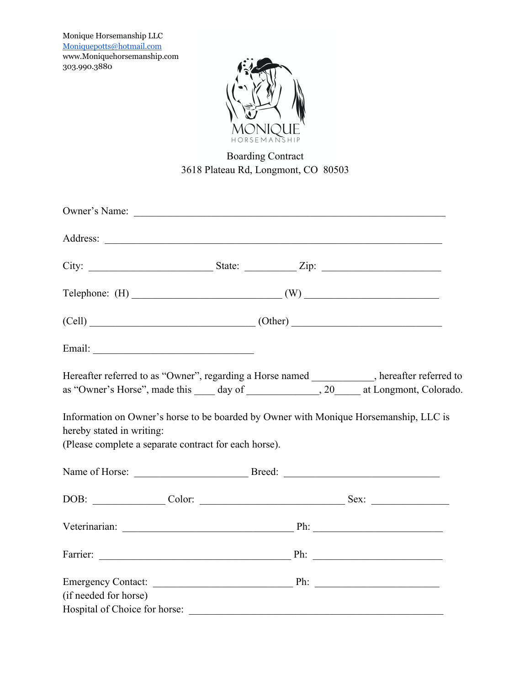Monique Horsemanship LLC Moniquepotts@hotmail.com www.Moniquehorsemanship.com 303.990.3880



## Boarding Contract 3618 Plateau Rd, Longmont, CO 80503

| Owner's Name:                                                                      | <u> Alexandria de la contrada de la contrada de la contrada de la contrada de la contrada de la contrada de la c</u> |  |                                                                                                                                                                                           |
|------------------------------------------------------------------------------------|----------------------------------------------------------------------------------------------------------------------|--|-------------------------------------------------------------------------------------------------------------------------------------------------------------------------------------------|
|                                                                                    |                                                                                                                      |  |                                                                                                                                                                                           |
|                                                                                    |                                                                                                                      |  |                                                                                                                                                                                           |
|                                                                                    |                                                                                                                      |  | Telephone: $(H)$ (W)                                                                                                                                                                      |
|                                                                                    |                                                                                                                      |  | $(Cell)$ $(Cher)$ $(Other)$                                                                                                                                                               |
|                                                                                    |                                                                                                                      |  |                                                                                                                                                                                           |
|                                                                                    |                                                                                                                      |  | Hereafter referred to as "Owner", regarding a Horse named __________, hereafter referred to<br>as "Owner's Horse", made this _____ day of _______________, 20_____ at Longmont, Colorado. |
| hereby stated in writing:<br>(Please complete a separate contract for each horse). |                                                                                                                      |  | Information on Owner's horse to be boarded by Owner with Monique Horsemanship, LLC is                                                                                                     |
|                                                                                    |                                                                                                                      |  |                                                                                                                                                                                           |
|                                                                                    |                                                                                                                      |  |                                                                                                                                                                                           |
|                                                                                    |                                                                                                                      |  |                                                                                                                                                                                           |
|                                                                                    |                                                                                                                      |  |                                                                                                                                                                                           |
| (if needed for horse)                                                              |                                                                                                                      |  |                                                                                                                                                                                           |
| Hospital of Choice for horse:                                                      |                                                                                                                      |  |                                                                                                                                                                                           |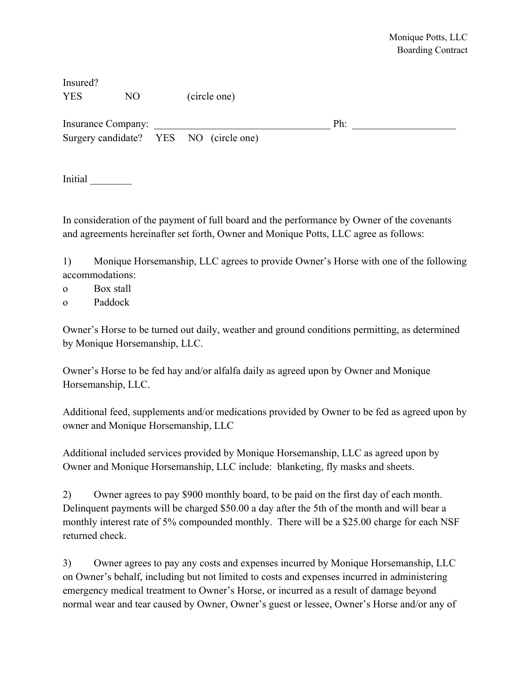| Insured?   |    |              |
|------------|----|--------------|
| <b>YES</b> | NО | (circle one) |

Insurance Company: The state of  $\mathbb{P}$ h:

Surgery candidate? YES NO (circle one)

Initial \_\_\_\_\_\_\_\_

In consideration of the payment of full board and the performance by Owner of the covenants and agreements hereinafter set forth, Owner and Monique Potts, LLC agree as follows:

1) Monique Horsemanship, LLC agrees to provide Owner's Horse with one of the following accommodations:

o Box stall

o Paddock

Owner's Horse to be turned out daily, weather and ground conditions permitting, as determined by Monique Horsemanship, LLC.

Owner's Horse to be fed hay and/or alfalfa daily as agreed upon by Owner and Monique Horsemanship, LLC.

Additional feed, supplements and/or medications provided by Owner to be fed as agreed upon by owner and Monique Horsemanship, LLC

Additional included services provided by Monique Horsemanship, LLC as agreed upon by Owner and Monique Horsemanship, LLC include: blanketing, fly masks and sheets.

2) Owner agrees to pay \$900 monthly board, to be paid on the first day of each month. Delinquent payments will be charged \$50.00 a day after the 5th of the month and will bear a monthly interest rate of 5% compounded monthly. There will be a \$25.00 charge for each NSF returned check.

3) Owner agrees to pay any costs and expenses incurred by Monique Horsemanship, LLC on Owner's behalf, including but not limited to costs and expenses incurred in administering emergency medical treatment to Owner's Horse, or incurred as a result of damage beyond normal wear and tear caused by Owner, Owner's guest or lessee, Owner's Horse and/or any of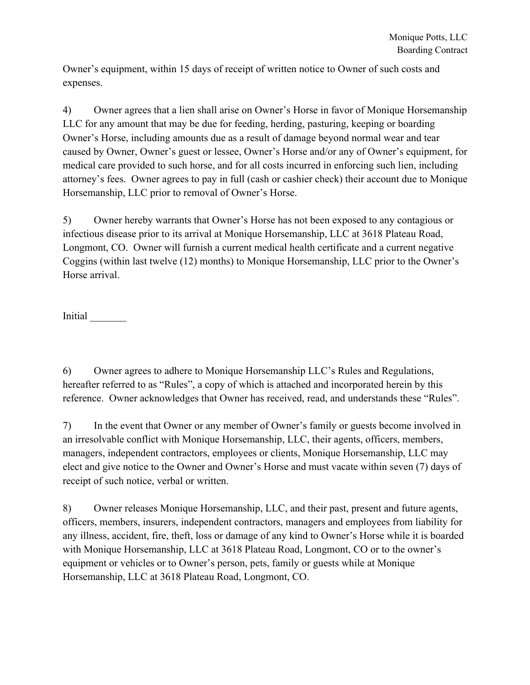Owner's equipment, within 15 days of receipt of written notice to Owner of such costs and expenses.

4) Owner agrees that a lien shall arise on Owner's Horse in favor of Monique Horsemanship LLC for any amount that may be due for feeding, herding, pasturing, keeping or boarding Owner's Horse, including amounts due as a result of damage beyond normal wear and tear caused by Owner, Owner's guest or lessee, Owner's Horse and/or any of Owner's equipment, for medical care provided to such horse, and for all costs incurred in enforcing such lien, including attorney's fees. Owner agrees to pay in full (cash or cashier check) their account due to Monique Horsemanship, LLC prior to removal of Owner's Horse.

5) Owner hereby warrants that Owner's Horse has not been exposed to any contagious or infectious disease prior to its arrival at Monique Horsemanship, LLC at 3618 Plateau Road, Longmont, CO. Owner will furnish a current medical health certificate and a current negative Coggins (within last twelve (12) months) to Monique Horsemanship, LLC prior to the Owner's Horse arrival.

Initial

6) Owner agrees to adhere to Monique Horsemanship LLC's Rules and Regulations, hereafter referred to as "Rules", a copy of which is attached and incorporated herein by this reference. Owner acknowledges that Owner has received, read, and understands these "Rules".

7) In the event that Owner or any member of Owner's family or guests become involved in an irresolvable conflict with Monique Horsemanship, LLC, their agents, officers, members, managers, independent contractors, employees or clients, Monique Horsemanship, LLC may elect and give notice to the Owner and Owner's Horse and must vacate within seven (7) days of receipt of such notice, verbal or written.

8) Owner releases Monique Horsemanship, LLC, and their past, present and future agents, officers, members, insurers, independent contractors, managers and employees from liability for any illness, accident, fire, theft, loss or damage of any kind to Owner's Horse while it is boarded with Monique Horsemanship, LLC at 3618 Plateau Road, Longmont, CO or to the owner's equipment or vehicles or to Owner's person, pets, family or guests while at Monique Horsemanship, LLC at 3618 Plateau Road, Longmont, CO.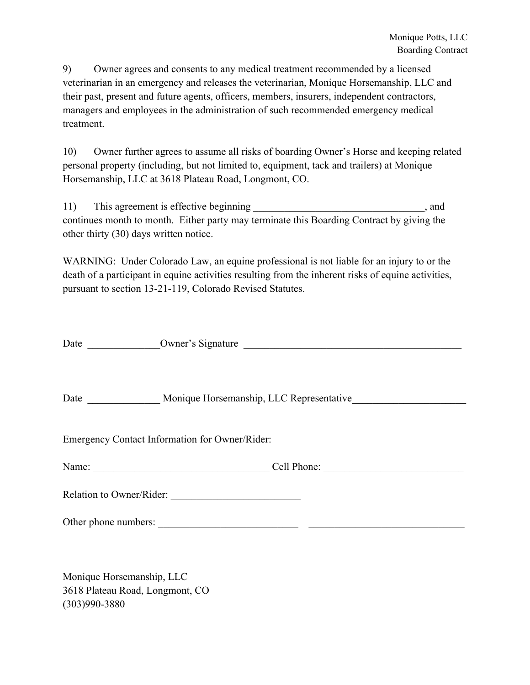9) Owner agrees and consents to any medical treatment recommended by a licensed veterinarian in an emergency and releases the veterinarian, Monique Horsemanship, LLC and their past, present and future agents, officers, members, insurers, independent contractors, managers and employees in the administration of such recommended emergency medical treatment.

10) Owner further agrees to assume all risks of boarding Owner's Horse and keeping related personal property (including, but not limited to, equipment, tack and trailers) at Monique Horsemanship, LLC at 3618 Plateau Road, Longmont, CO.

11) This agreement is effective beginning and state of the state of the state of the state of the state of the state of the state of the state of the state of the state of the state of the state of the state of the state o continues month to month. Either party may terminate this Boarding Contract by giving the other thirty (30) days written notice.

WARNING: Under Colorado Law, an equine professional is not liable for an injury to or the death of a participant in equine activities resulting from the inherent risks of equine activities, pursuant to section 13-21-119, Colorado Revised Statutes.

|                                                | Date _________________ Monique Horsemanship, LLC Representative ________________ |  |  |  |
|------------------------------------------------|----------------------------------------------------------------------------------|--|--|--|
| Emergency Contact Information for Owner/Rider: |                                                                                  |  |  |  |
|                                                |                                                                                  |  |  |  |
|                                                | Relation to Owner/Rider:                                                         |  |  |  |
|                                                |                                                                                  |  |  |  |

Monique Horsemanship, LLC 3618 Plateau Road, Longmont, CO (303)990-3880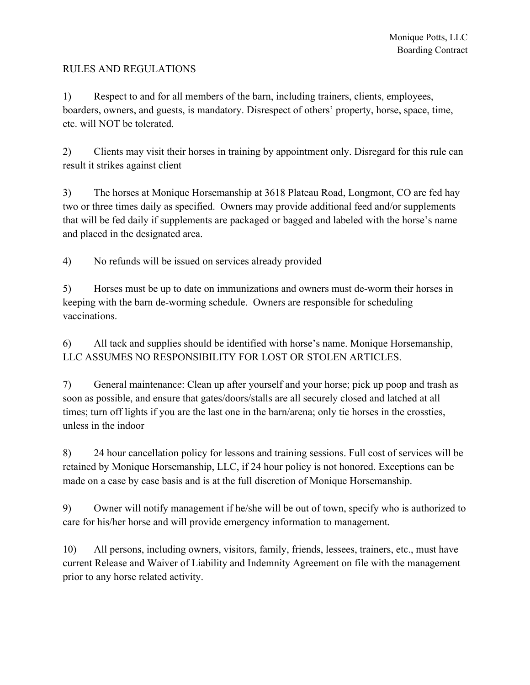## RULES AND REGULATIONS

1) Respect to and for all members of the barn, including trainers, clients, employees, boarders, owners, and guests, is mandatory. Disrespect of others' property, horse, space, time, etc. will NOT be tolerated.

2) Clients may visit their horses in training by appointment only. Disregard for this rule can result it strikes against client

3) The horses at Monique Horsemanship at 3618 Plateau Road, Longmont, CO are fed hay two or three times daily as specified. Owners may provide additional feed and/or supplements that will be fed daily if supplements are packaged or bagged and labeled with the horse's name and placed in the designated area.

4) No refunds will be issued on services already provided

5) Horses must be up to date on immunizations and owners must de-worm their horses in keeping with the barn de-worming schedule. Owners are responsible for scheduling vaccinations.

6) All tack and supplies should be identified with horse's name. Monique Horsemanship, LLC ASSUMES NO RESPONSIBILITY FOR LOST OR STOLEN ARTICLES.

7) General maintenance: Clean up after yourself and your horse; pick up poop and trash as soon as possible, and ensure that gates/doors/stalls are all securely closed and latched at all times; turn off lights if you are the last one in the barn/arena; only tie horses in the crossties, unless in the indoor

8) 24 hour cancellation policy for lessons and training sessions. Full cost of services will be retained by Monique Horsemanship, LLC, if 24 hour policy is not honored. Exceptions can be made on a case by case basis and is at the full discretion of Monique Horsemanship.

9) Owner will notify management if he/she will be out of town, specify who is authorized to care for his/her horse and will provide emergency information to management.

10) All persons, including owners, visitors, family, friends, lessees, trainers, etc., must have current Release and Waiver of Liability and Indemnity Agreement on file with the management prior to any horse related activity.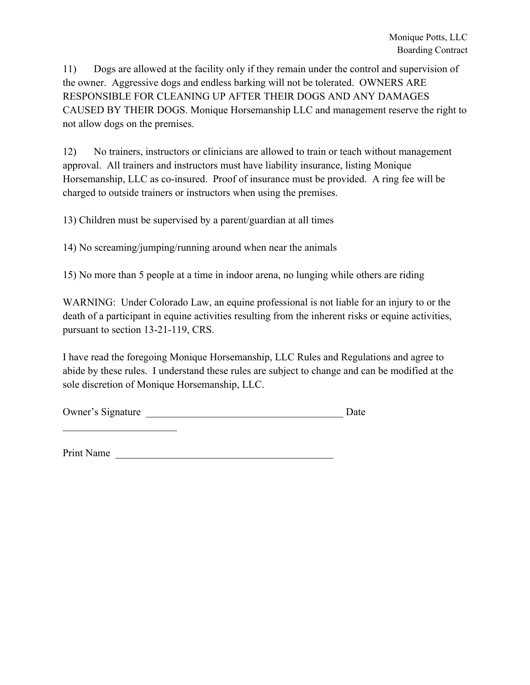11) Dogs are allowed at the facility only if they remain under the control and supervision of the owner. Aggressive dogs and endless barking will not be tolerated. OWNERS ARE RESPONSIBLE FOR CLEANING UP AFTER THEIR DOGS AND ANY DAMAGES CAUSED BY THEIR DOGS. Monique Horsemanship LLC and management reserve the right to not allow dogs on the premises.

12) No trainers, instructors or clinicians are allowed to train or teach without management approval. All trainers and instructors must have liability insurance, listing Monique Horsemanship, LLC as co-insured. Proof of insurance must be provided. A ring fee will be charged to outside trainers or instructors when using the premises.

13) Children must be supervised by a parent/guardian at all times

14) No screaming/jumping/running around when near the animals

15) No more than 5 people at a time in indoor arena, no lunging while others are riding

WARNING: Under Colorado Law, an equine professional is not liable for an injury to or the death of a participant in equine activities resulting from the inherent risks or equine activities, pursuant to section 13-21-119, CRS.

I have read the foregoing Monique Horsemanship, LLC Rules and Regulations and agree to abide by these rules. I understand these rules are subject to change and can be modified at the sole discretion of Monique Horsemanship, LLC.

| Owner's Signature |  |
|-------------------|--|
|                   |  |

Print Name